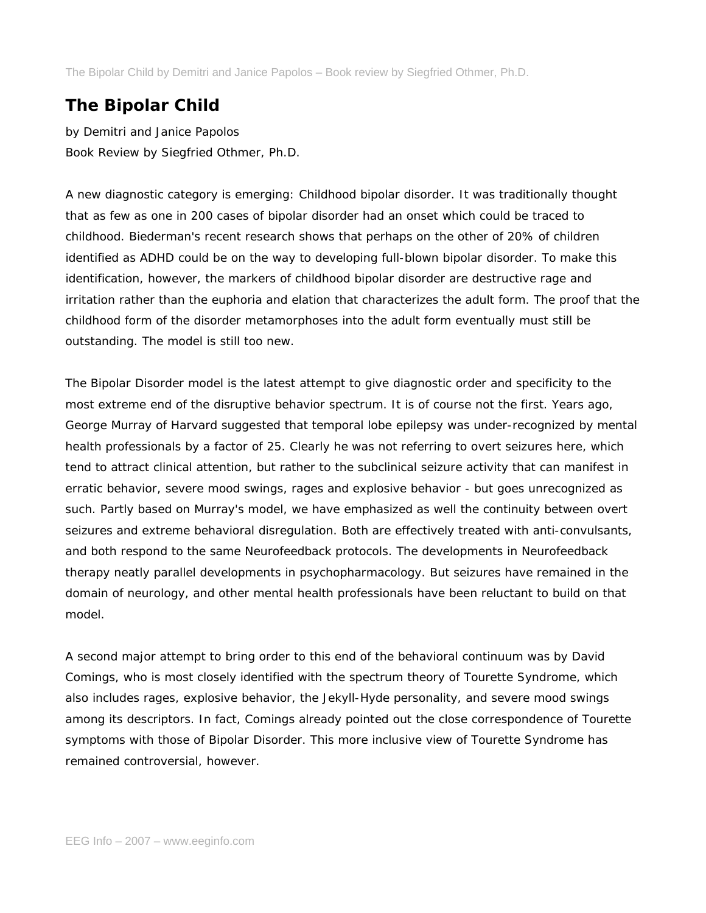The Bipolar Child by Demitri and Janice Papolos – Book review by Siegfried Othmer, Ph.D.

## **The Bipolar Child**

*by Demitri and Janice Papolos Book Review by Siegfried Othmer, Ph.D.*

A new diagnostic category is emerging: Childhood bipolar disorder. It was traditionally thought that as few as one in 200 cases of bipolar disorder had an onset which could be traced to childhood. Biederman's recent research shows that perhaps on the other of 20% of children identified as ADHD could be on the way to developing full-blown bipolar disorder. To make this identification, however, the markers of childhood bipolar disorder are destructive rage and irritation rather than the euphoria and elation that characterizes the adult form. The proof that the childhood form of the disorder metamorphoses into the adult form eventually must still be outstanding. The model is still too new.

The Bipolar Disorder model is the latest attempt to give diagnostic order and specificity to the most extreme end of the disruptive behavior spectrum. It is of course not the first. Years ago, George Murray of Harvard suggested that temporal lobe epilepsy was under-recognized by mental health professionals by a factor of 25. Clearly he was not referring to overt seizures here, which tend to attract clinical attention, but rather to the subclinical seizure activity that can manifest in erratic behavior, severe mood swings, rages and explosive behavior - but goes unrecognized as such. Partly based on Murray's model, we have emphasized as well the continuity between overt seizures and extreme behavioral disregulation. Both are effectively treated with anti-convulsants, and both respond to the same Neurofeedback protocols. The developments in Neurofeedback therapy neatly parallel developments in psychopharmacology. But seizures have remained in the domain of neurology, and other mental health professionals have been reluctant to build on that model.

A second major attempt to bring order to this end of the behavioral continuum was by David Comings, who is most closely identified with the spectrum theory of Tourette Syndrome, which also includes rages, explosive behavior, the Jekyll-Hyde personality, and severe mood swings among its descriptors. In fact, Comings already pointed out the close correspondence of Tourette symptoms with those of Bipolar Disorder. This more inclusive view of Tourette Syndrome has remained controversial, however.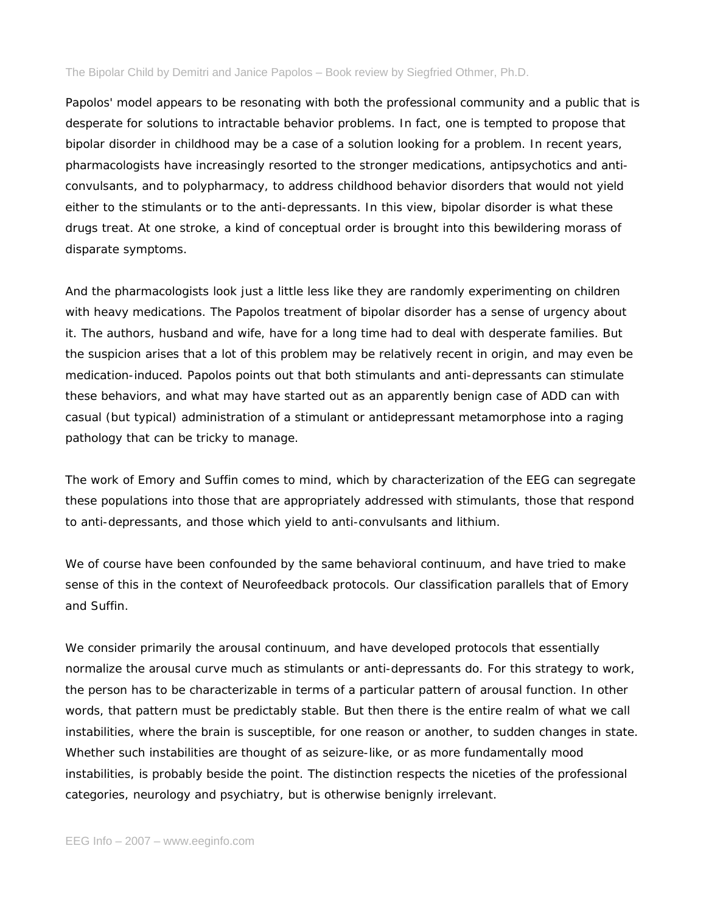## The Bipolar Child by Demitri and Janice Papolos – Book review by Siegfried Othmer, Ph.D.

Papolos' model appears to be resonating with both the professional community and a public that is desperate for solutions to intractable behavior problems. In fact, one is tempted to propose that bipolar disorder in childhood may be a case of a solution looking for a problem. In recent years, pharmacologists have increasingly resorted to the stronger medications, antipsychotics and anticonvulsants, and to polypharmacy, to address childhood behavior disorders that would not yield either to the stimulants or to the anti-depressants. In this view, bipolar disorder is what these drugs treat. At one stroke, a kind of conceptual order is brought into this bewildering morass of disparate symptoms.

And the pharmacologists look just a little less like they are randomly experimenting on children with heavy medications. The Papolos treatment of bipolar disorder has a sense of urgency about it. The authors, husband and wife, have for a long time had to deal with desperate families. But the suspicion arises that a lot of this problem may be relatively recent in origin, and may even be medication-induced. Papolos points out that both stimulants and anti-depressants can stimulate these behaviors, and what may have started out as an apparently benign case of ADD can with casual (but typical) administration of a stimulant or antidepressant metamorphose into a raging pathology that can be tricky to manage.

The work of Emory and Suffin comes to mind, which by characterization of the EEG can segregate these populations into those that are appropriately addressed with stimulants, those that respond to anti-depressants, and those which yield to anti-convulsants and lithium.

We of course have been confounded by the same behavioral continuum, and have tried to make sense of this in the context of Neurofeedback protocols. Our classification parallels that of Emory and Suffin.

We consider primarily the arousal continuum, and have developed protocols that essentially normalize the arousal curve much as stimulants or anti-depressants do. For this strategy to work, the person has to be characterizable in terms of a particular pattern of arousal function. In other words, that pattern must be predictably stable. But then there is the entire realm of what we call instabilities, where the brain is susceptible, for one reason or another, to sudden changes in state. Whether such instabilities are thought of as seizure-like, or as more fundamentally mood instabilities, is probably beside the point. The distinction respects the niceties of the professional categories, neurology and psychiatry, but is otherwise benignly irrelevant.